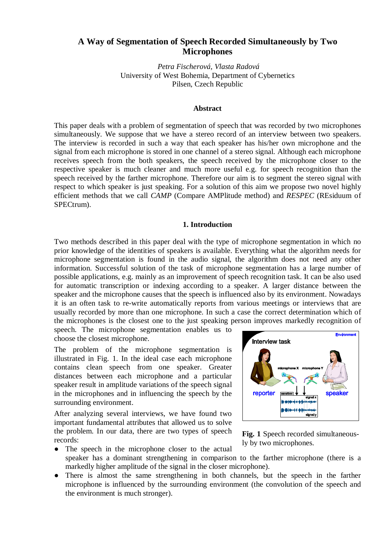# **A Way of Segmentation of Speech Recorded Simultaneously by Two Microphones**

*Petra Fischerová, Vlasta Radová*  University of West Bohemia, Department of Cybernetics Pilsen, Czech Republic

## **Abstract**

This paper deals with a problem of segmentation of speech that was recorded by two microphones simultaneously. We suppose that we have a stereo record of an interview between two speakers. The interview is recorded in such a way that each speaker has his/her own microphone and the signal from each microphone is stored in one channel of a stereo signal. Although each microphone receives speech from the both speakers, the speech received by the microphone closer to the respective speaker is much cleaner and much more useful e.g. for speech recognition than the speech received by the farther microphone. Therefore our aim is to segment the stereo signal with respect to which speaker is just speaking. For a solution of this aim we propose two novel highly efficient methods that we call *CAMP* (Compare AMPlitude method) and *RESPEC* (REsiduum of SPECtrum).

### **1. Introduction**

Two methods described in this paper deal with the type of microphone segmentation in which no prior knowledge of the identities of speakers is available. Everything what the algorithm needs for microphone segmentation is found in the audio signal, the algorithm does not need any other information. Successful solution of the task of microphone segmentation has a large number of possible applications, e.g. mainly as an improvement of speech recognition task. It can be also used for automatic transcription or indexing according to a speaker. A larger distance between the speaker and the microphone causes that the speech is influenced also by its environment. Nowadays it is an often task to re-write automatically reports from various meetings or interviews that are usually recorded by more than one microphone. In such a case the correct determination which of the microphones is the closest one to the just speaking person improves markedly recognition of

speech. The microphone segmentation enables us to choose the closest microphone.

The problem of the microphone segmentation is illustrated in Fig. 1. In the ideal case each microphone contains clean speech from one speaker. Greater distances between each microphone and a particular speaker result in amplitude variations of the speech signal in the microphones and in influencing the speech by the surrounding environment.

After analyzing several interviews, we have found two important fundamental attributes that allowed us to solve the problem. In our data, there are two types of speech records:



**Fig. 1** Speech recorded simultaneously by two microphones.

- The speech in the microphone closer to the actual speaker has a dominant strengthening in comparison to the farther microphone (there is a markedly higher amplitude of the signal in the closer microphone).
- There is almost the same strengthening in both channels, but the speech in the farther microphone is influenced by the surrounding environment (the convolution of the speech and the environment is much stronger).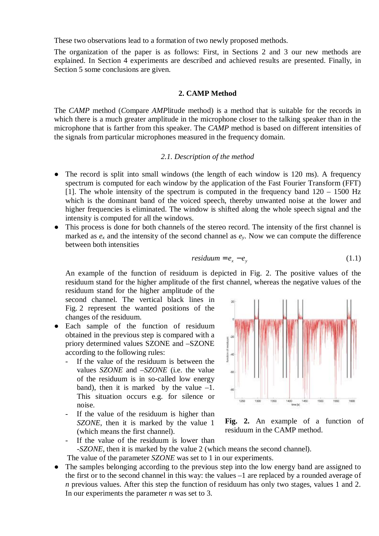These two observations lead to a formation of two newly proposed methods.

The organization of the paper is as follows: First, in Sections 2 and 3 our new methods are explained. In Section 4 experiments are described and achieved results are presented. Finally, in Section 5 some conclusions are given.

## **2. CAMP Method**

The *CAMP* method (*C*ompare *AMP*litude method) is a method that is suitable for the records in which there is a much greater amplitude in the microphone closer to the talking speaker than in the microphone that is farther from this speaker. The *CAMP* method is based on different intensities of the signals from particular microphones measured in the frequency domain.

## *2.1. Description of the method*

- The record is split into small windows (the length of each window is 120 ms). A frequency spectrum is computed for each window by the application of the Fast Fourier Transform (FFT) [1]. The whole intensity of the spectrum is computed in the frequency band  $120 - 1500$  Hz which is the dominant band of the voiced speech, thereby unwanted noise at the lower and higher frequencies is eliminated. The window is shifted along the whole speech signal and the intensity is computed for all the windows.
- This process is done for both channels of the stereo record. The intensity of the first channel is marked as  $e_x$  and the intensity of the second channel as  $e_y$ . Now we can compute the difference between both intensities

$$
residuum = e_x - e_y \tag{1.1}
$$

An example of the function of residuum is depicted in Fig. 2. The positive values of the residuum stand for the higher amplitude of the first channel, whereas the negative values of the

residuum stand for the higher amplitude of the second channel. The vertical black lines in Fig. 2 represent the wanted positions of the changes of the residuum.

- Each sample of the function of residuum obtained in the previous step is compared with a priory determined values SZONE and –SZONE according to the following rules:
	- If the value of the residuum is between the values *SZONE* and –*SZONE* (i.e. the value of the residuum is in so-called low energy band), then it is marked by the value  $-1$ . This situation occurs e.g. for silence or noise.
	- If the value of the residuum is higher than *SZONE*, then it is marked by the value 1 (which means the first channel).



**Fig. 2.** An example of a function of residuum in the CAMP method.

- If the value of the residuum is lower than -*SZONE*, then it is marked by the value 2 (which means the second channel).
- The value of the parameter *SZONE* was set to 1 in our experiments.
- The samples belonging according to the previous step into the low energy band are assigned to the first or to the second channel in this way: the values –1 are replaced by a rounded average of *n* previous values. After this step the function of residuum has only two stages, values 1 and 2. In our experiments the parameter *n* was set to 3.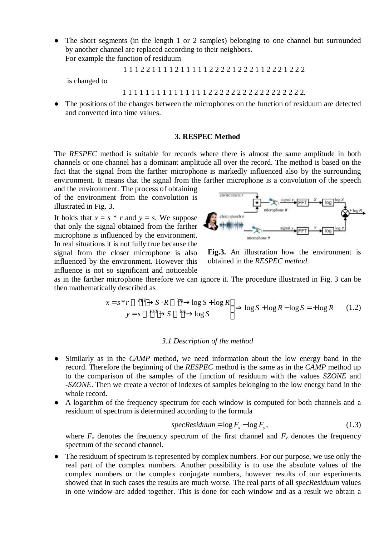• The short segments (in the length 1 or 2 samples) belonging to one channel but surrounded by another channel are replaced according to their neighbors. For example the function of residuum

1 1 1 2 2 1 1 1 1 2 1 1 1 1 1 2 2 2 2 1 2 2 2 1 1 2 2 2 1 2 2 2

is changed to

1 1 1 1 1 1 1 1 1 1 1 1 1 1 1 2 2 2 2 2 2 2 2 2 2 2 2 2 2 2 2 2.

• The positions of the changes between the microphones on the function of residuum are detected and converted into time values.

## **3. RESPEC Method**

The *RESPEC* method is suitable for records where there is almost the same amplitude in both channels or one channel has a dominant amplitude all over the record. The method is based on the fact that the signal from the farther microphone is markedly influenced also by the surrounding environment. It means that the signal from the farther microphone is a convolution of the speech

and the environment. The process of obtaining of the environment from the convolution is illustrated in Fig. 3.

It holds that  $x = s * r$  and  $y = s$ . We suppose that only the signal obtained from the farther microphone is influenced by the environment. In real situations it is not fully true because the signal from the closer microphone is also influenced by the environment. However this influence is not so significant and noticeable



**Fig.3.** An illustration how the environment is obtained in the *RESPEC method*.

as in the farther microphone therefore we can ignore it. The procedure illustrated in Fig. 3 can be then mathematically described as

$$
x = s^* r \xrightarrow{FFT} S \cdot R \xrightarrow{log} \log S + \log R
$$
  
\n
$$
y = s \xrightarrow{FFT} S \xrightarrow{log} \log S
$$

#### *3.1 Description of the method*

- Similarly as in the *CAMP* method, we need information about the low energy band in the record. Therefore the beginning of the *RESPEC* method is the same as in the *CAMP* method up to the comparison of the samples of the function of residuum with the values *SZONE* and -*SZONE*. Then we create a vector of indexes of samples belonging to the low energy band in the whole record.
- A logarithm of the frequency spectrum for each window is computed for both channels and a residuum of spectrum is determined according to the formula

$$
specResiduum = \log F_x - \log F_y, \tag{1.3}
$$

where  $F_x$  denotes the frequency spectrum of the first channel and  $F_y$  denotes the frequency spectrum of the second channel.

The residuum of spectrum is represented by complex numbers. For our purpose, we use only the real part of the complex numbers. Another possibility is to use the absolute values of the complex numbers or the complex conjugate numbers, however results of our experiments showed that in such cases the results are much worse. The real parts of all *specResiduum* values in one window are added together. This is done for each window and as a result we obtain a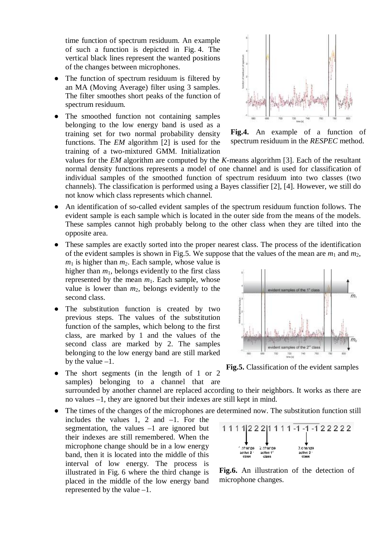time function of spectrum residuum. An example of such a function is depicted in Fig. 4. The vertical black lines represent the wanted positions of the changes between microphones.

- The function of spectrum residuum is filtered by an MA (Moving Average) filter using 3 samples. The filter smoothes short peaks of the function of spectrum residuum.
- The smoothed function not containing samples belonging to the low energy band is used as a training set for two normal probability density functions. The *EM* algorithm [2] is used for the training of a two-mixtured GMM. Initialization



**Fig.4.** An example of a function of spectrum residuum in the *RESPEC* method.

values for the *EM* algorithm are computed by the *K*-means algorithm [3]. Each of the resultant normal density functions represents a model of one channel and is used for classification of individual samples of the smoothed function of spectrum residuum into two classes (two channels). The classification is performed using a Bayes classifier [2], [4]. However, we still do not know which class represents which channel.

- An identification of so-called evident samples of the spectrum residuum function follows. The evident sample is each sample which is located in the outer side from the means of the models. These samples cannot high probably belong to the other class when they are tilted into the opposite area.
- These samples are exactly sorted into the proper nearest class. The process of the identification of the evident samples is shown in Fig.5. We suppose that the values of the mean are  $m_1$  and  $m_2$ ,  $m_1$  is higher than  $m_2$ . Each sample, whose value is

higher than  $m_1$ , belongs evidently to the first class represented by the mean  $m_1$ . Each sample, whose value is lower than  $m_2$ , belongs evidently to the second class.

- The substitution function is created by two previous steps. The values of the substitution function of the samples, which belong to the first class, are marked by 1 and the values of the second class are marked by 2. The samples belonging to the low energy band are still marked by the value  $-1$ .
- The short segments (in the length of 1 or 2 samples) belonging to a channel that are





surrounded by another channel are replaced according to their neighbors. It works as there are no values –1, they are ignored but their indexes are still kept in mind.

The times of the changes of the microphones are determined now. The substitution function still

includes the values 1, 2 and –1. For the segmentation, the values  $-1$  are ignored but their indexes are still remembered. When the microphone change should be in a low energy band, then it is located into the middle of this interval of low energy. The process is illustrated in Fig. 6 where the third change is placed in the middle of the low energy band represented by the value –1.



**Fig.6.** An illustration of the detection of microphone changes.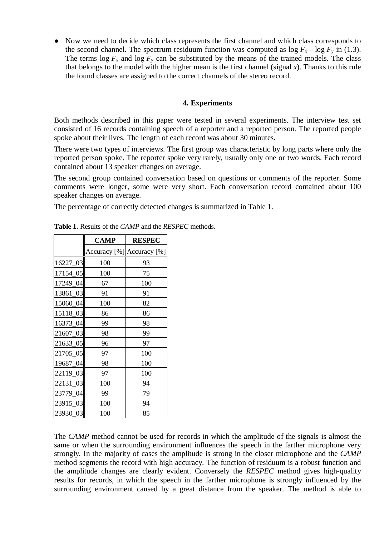● Now we need to decide which class represents the first channel and which class corresponds to the second channel. The spectrum residuum function was computed as  $\log F_x - \log F_y$  in (1.3). The terms  $\log F_x$  and  $\log F_y$  can be substituted by the means of the trained models. The class that belongs to the model with the higher mean is the first channel (signal  $x$ ). Thanks to this rule the found classes are assigned to the correct channels of the stereo record.

## **4. Experiments**

Both methods described in this paper were tested in several experiments. The interview test set consisted of 16 records containing speech of a reporter and a reported person. The reported people spoke about their lives. The length of each record was about 30 minutes.

There were two types of interviews. The first group was characteristic by long parts where only the reported person spoke. The reporter spoke very rarely, usually only one or two words. Each record contained about 13 speaker changes on average.

The second group contained conversation based on questions or comments of the reporter. Some comments were longer, some were very short. Each conversation record contained about 100 speaker changes on average.

The percentage of correctly detected changes is summarized in Table 1.

|          | <b>CAMP</b> | <b>RESPEC</b>             |
|----------|-------------|---------------------------|
|          |             | Accuracy [%] Accuracy [%] |
| 16227_03 | 100         | 93                        |
| 17154_05 | 100         | 75                        |
| 17249_04 | 67          | 100                       |
| 13861_03 | 91          | 91                        |
| 15060 04 | 100         | 82                        |
| 15118_03 | 86          | 86                        |
| 16373_04 | 99          | 98                        |
| 21607 03 | 98          | 99                        |
| 21633_05 | 96          | 97                        |
| 21705_05 | 97          | 100                       |
| 19687_04 | 98          | 100                       |
| 22119_03 | 97          | 100                       |
| 22131_03 | 100         | 94                        |
| 23779_04 | 99          | 79                        |
| 23915_03 | 100         | 94                        |
| 23930_03 | 100         | 85                        |

**Table 1.** Results of the *CAMP* and the *RESPEC* methods.

The *CAMP* method cannot be used for records in which the amplitude of the signals is almost the same or when the surrounding environment influences the speech in the farther microphone very strongly. In the majority of cases the amplitude is strong in the closer microphone and the *CAMP* method segments the record with high accuracy. The function of residuum is a robust function and the amplitude changes are clearly evident. Conversely the *RESPEC* method gives high-quality results for records, in which the speech in the farther microphone is strongly influenced by the surrounding environment caused by a great distance from the speaker. The method is able to